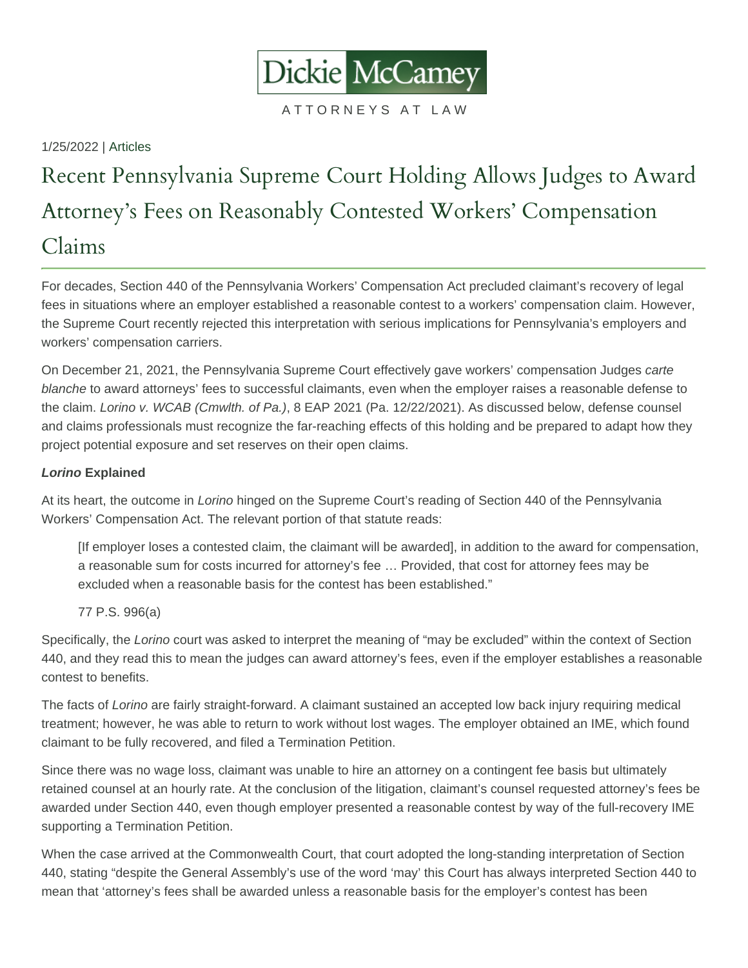1/25/2022 | [Articles](https://www.dmclaw.com/events-media/category/articles/)

## Recent Pennsylvania Supreme Court Holding Attorney s Fees on Reasonably Contested Wo Claims

For decades, Section 440 of the Pennsylvania Workers' Compensation Act precluded claimant's recovery of legal fees in situations where an employer established a reasonable contest to a workers' compensation claim. However, the Supreme Court recently rejected this interpretation with serious implications for Pennsylvania's employers and workers' compensation carriers.

On December 21, 2021, the Pennsylvania Supreme Court effectively gave workers' compensation Judges carte blanche to award attorneys' fees to successful claimants, even when the employer raises a reasonable defense to the claim. Lorino v. WCAB (Cmwlth. of Pa.), 8 EAP 2021 (Pa. 12/22/2021). As discussed below, defense counsel and claims professionals must recognize the far-reaching effects of this holding and be prepared to adapt how they project potential exposure and set reserves on their open claims.

## Lorino Explained

At its heart, the outcome in Lorino hinged on the Supreme Court's reading of Section 440 of the Pennsylvania Workers' Compensation Act. The relevant portion of that statute reads:

[If employer loses a contested claim, the claimant will be awarded], in addition to the award for compensation, a reasonable sum for costs incurred for attorney's fee … Provided, that cost for attorney fees may be excluded when a reasonable basis for the contest has been established."

77 P.S. 996(a)

Specifically, the Lorino court was asked to interpret the meaning of "may be excluded" within the context of Section 440, and they read this to mean the judges can award attorney's fees, even if the employer establishes a reasonable contest to benefits.

The facts of Lorino are fairly straight-forward. A claimant sustained an accepted low back injury requiring medical treatment; however, he was able to return to work without lost wages. The employer obtained an IME, which found claimant to be fully recovered, and filed a Termination Petition.

Since there was no wage loss, claimant was unable to hire an attorney on a contingent fee basis but ultimately retained counsel at an hourly rate. At the conclusion of the litigation, claimant's counsel requested attorney's fees be awarded under Section 440, even though employer presented a reasonable contest by way of the full-recovery IME supporting a Termination Petition.

When the case arrived at the Commonwealth Court, that court adopted the long-standing interpretation of Section 440, stating "despite the General Assembly's use of the word 'may' this Court has always interpreted Section 440 to mean that 'attorney's fees shall be awarded unless a reasonable basis for the employer's contest has been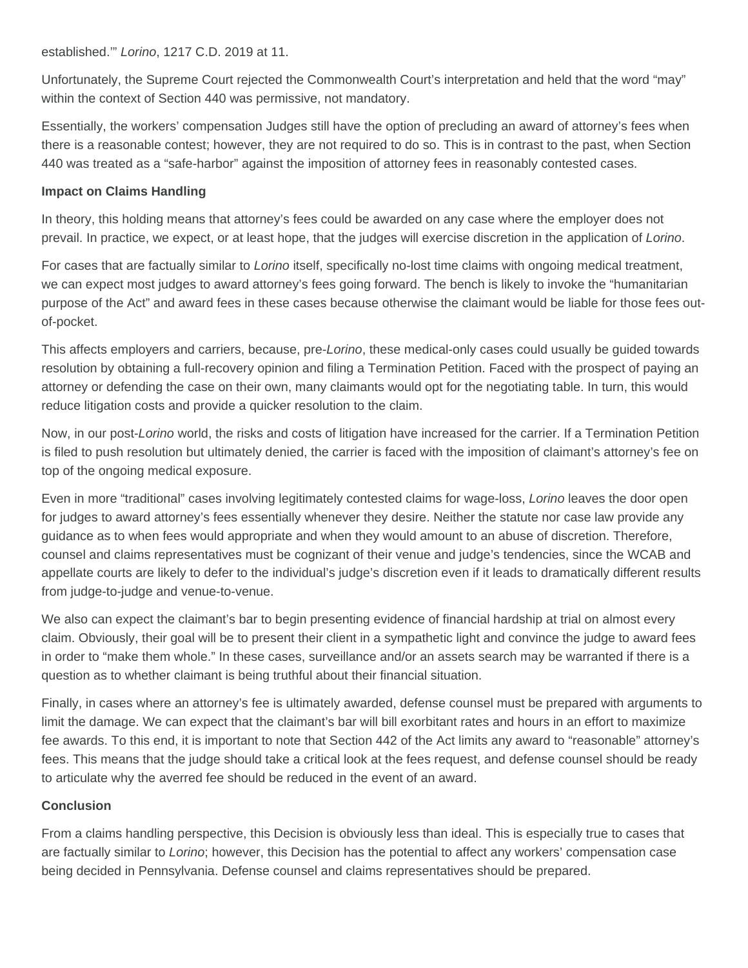established.'" Lorino, 1217 C.D. 2019 at 11.

Unfortunately, the Supreme Court rejected the Commonwealth Court's interpretation and held that the word "may" within the context of Section 440 was permissive, not mandatory.

Essentially, the workers' compensation Judges still have the option of precluding an award of attorney's fees when there is a reasonable contest; however, they are not required to do so. This is in contrast to the past, when Section 440 was treated as a "safe-harbor" against the imposition of attorney fees in reasonably contested cases.

## **Impact on Claims Handling**

In theory, this holding means that attorney's fees could be awarded on any case where the employer does not prevail. In practice, we expect, or at least hope, that the judges will exercise discretion in the application of Lorino.

For cases that are factually similar to Lorino itself, specifically no-lost time claims with ongoing medical treatment, we can expect most judges to award attorney's fees going forward. The bench is likely to invoke the "humanitarian purpose of the Act" and award fees in these cases because otherwise the claimant would be liable for those fees outof-pocket.

This affects employers and carriers, because, pre-Lorino, these medical-only cases could usually be guided towards resolution by obtaining a full-recovery opinion and filing a Termination Petition. Faced with the prospect of paying an attorney or defending the case on their own, many claimants would opt for the negotiating table. In turn, this would reduce litigation costs and provide a quicker resolution to the claim.

Now, in our post-Lorino world, the risks and costs of litigation have increased for the carrier. If a Termination Petition is filed to push resolution but ultimately denied, the carrier is faced with the imposition of claimant's attorney's fee on top of the ongoing medical exposure.

Even in more "traditional" cases involving legitimately contested claims for wage-loss, Lorino leaves the door open for judges to award attorney's fees essentially whenever they desire. Neither the statute nor case law provide any guidance as to when fees would appropriate and when they would amount to an abuse of discretion. Therefore, counsel and claims representatives must be cognizant of their venue and judge's tendencies, since the WCAB and appellate courts are likely to defer to the individual's judge's discretion even if it leads to dramatically different results from judge-to-judge and venue-to-venue.

We also can expect the claimant's bar to begin presenting evidence of financial hardship at trial on almost every claim. Obviously, their goal will be to present their client in a sympathetic light and convince the judge to award fees in order to "make them whole." In these cases, surveillance and/or an assets search may be warranted if there is a question as to whether claimant is being truthful about their financial situation.

Finally, in cases where an attorney's fee is ultimately awarded, defense counsel must be prepared with arguments to limit the damage. We can expect that the claimant's bar will bill exorbitant rates and hours in an effort to maximize fee awards. To this end, it is important to note that Section 442 of the Act limits any award to "reasonable" attorney's fees. This means that the judge should take a critical look at the fees request, and defense counsel should be ready to articulate why the averred fee should be reduced in the event of an award.

## **Conclusion**

From a claims handling perspective, this Decision is obviously less than ideal. This is especially true to cases that are factually similar to Lorino; however, this Decision has the potential to affect any workers' compensation case being decided in Pennsylvania. Defense counsel and claims representatives should be prepared.